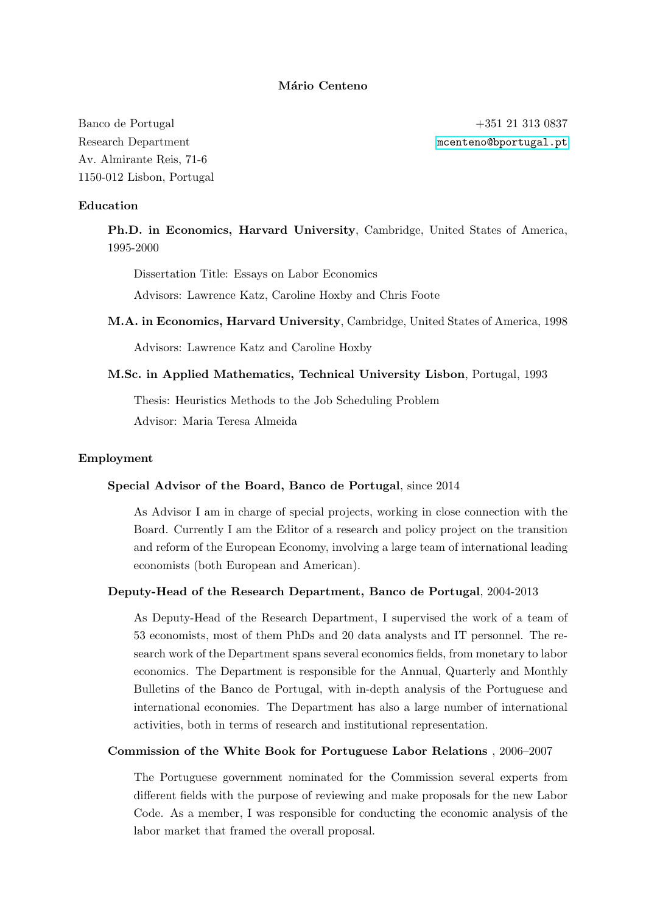### Mário Centeno

Banco de Portugal +351 21 313 0837 Research Department material material material material material  $\mathbb{R}$  meeters and meeters  $\mathbb{R}$  meeters  $\mathbb{R}$  and  $\mathbb{R}$  meeters  $\mathbb{R}$  meeters  $\mathbb{R}$  meeters  $\mathbb{R}$  meeters  $\mathbb{R}$  meeters  $\mathbb{R}$  meet Av. Almirante Reis, 71-6 1150-012 Lisbon, Portugal

### Education

Ph.D. in Economics, Harvard University, Cambridge, United States of America, 1995-2000

Dissertation Title: Essays on Labor Economics

Advisors: Lawrence Katz, Caroline Hoxby and Chris Foote

M.A. in Economics, Harvard University, Cambridge, United States of America, 1998

Advisors: Lawrence Katz and Caroline Hoxby

### M.Sc. in Applied Mathematics, Technical University Lisbon, Portugal, 1993

Thesis: Heuristics Methods to the Job Scheduling Problem Advisor: Maria Teresa Almeida

#### Employment

#### Special Advisor of the Board, Banco de Portugal, since 2014

As Advisor I am in charge of special projects, working in close connection with the Board. Currently I am the Editor of a research and policy project on the transition and reform of the European Economy, involving a large team of international leading economists (both European and American).

### Deputy-Head of the Research Department, Banco de Portugal, 2004-2013

As Deputy-Head of the Research Department, I supervised the work of a team of 53 economists, most of them PhDs and 20 data analysts and IT personnel. The research work of the Department spans several economics fields, from monetary to labor economics. The Department is responsible for the Annual, Quarterly and Monthly Bulletins of the Banco de Portugal, with in-depth analysis of the Portuguese and international economies. The Department has also a large number of international activities, both in terms of research and institutional representation.

### Commission of the White Book for Portuguese Labor Relations , 2006–2007

The Portuguese government nominated for the Commission several experts from different fields with the purpose of reviewing and make proposals for the new Labor Code. As a member, I was responsible for conducting the economic analysis of the labor market that framed the overall proposal.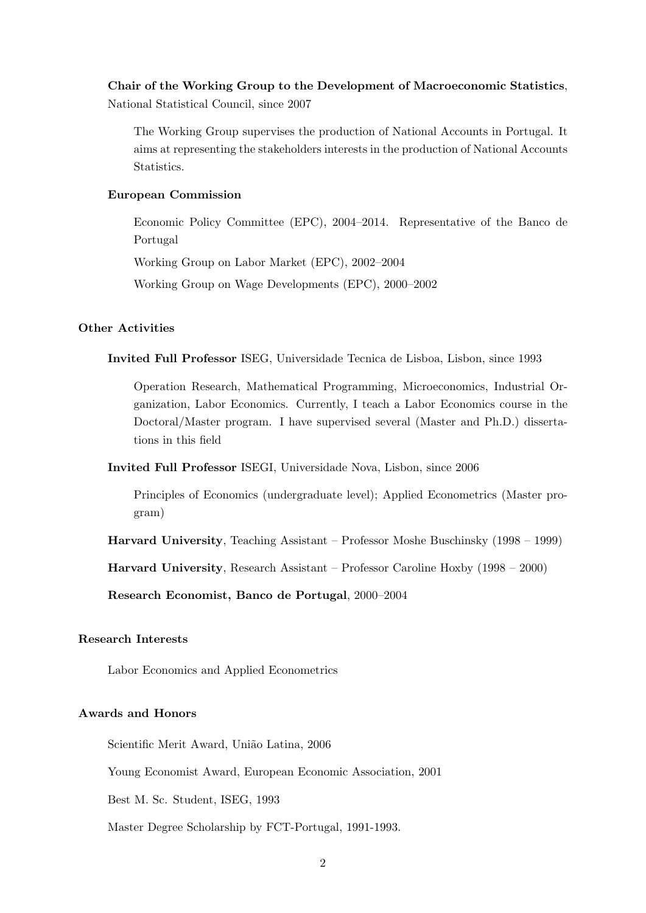# Chair of the Working Group to the Development of Macroeconomic Statistics, National Statistical Council, since 2007

The Working Group supervises the production of National Accounts in Portugal. It aims at representing the stakeholders interests in the production of National Accounts Statistics.

### European Commission

Economic Policy Committee (EPC), 2004–2014. Representative of the Banco de Portugal

Working Group on Labor Market (EPC), 2002–2004

Working Group on Wage Developments (EPC), 2000–2002

### Other Activities

Invited Full Professor ISEG, Universidade Tecnica de Lisboa, Lisbon, since 1993

Operation Research, Mathematical Programming, Microeconomics, Industrial Organization, Labor Economics. Currently, I teach a Labor Economics course in the Doctoral/Master program. I have supervised several (Master and Ph.D.) dissertations in this field

Invited Full Professor ISEGI, Universidade Nova, Lisbon, since 2006

Principles of Economics (undergraduate level); Applied Econometrics (Master program)

Harvard University, Teaching Assistant – Professor Moshe Buschinsky (1998 – 1999)

Harvard University, Research Assistant – Professor Caroline Hoxby (1998 – 2000)

Research Economist, Banco de Portugal, 2000–2004

## Research Interests

Labor Economics and Applied Econometrics

### Awards and Honors

Scientific Merit Award, União Latina, 2006

Young Economist Award, European Economic Association, 2001

Best M. Sc. Student, ISEG, 1993

Master Degree Scholarship by FCT-Portugal, 1991-1993.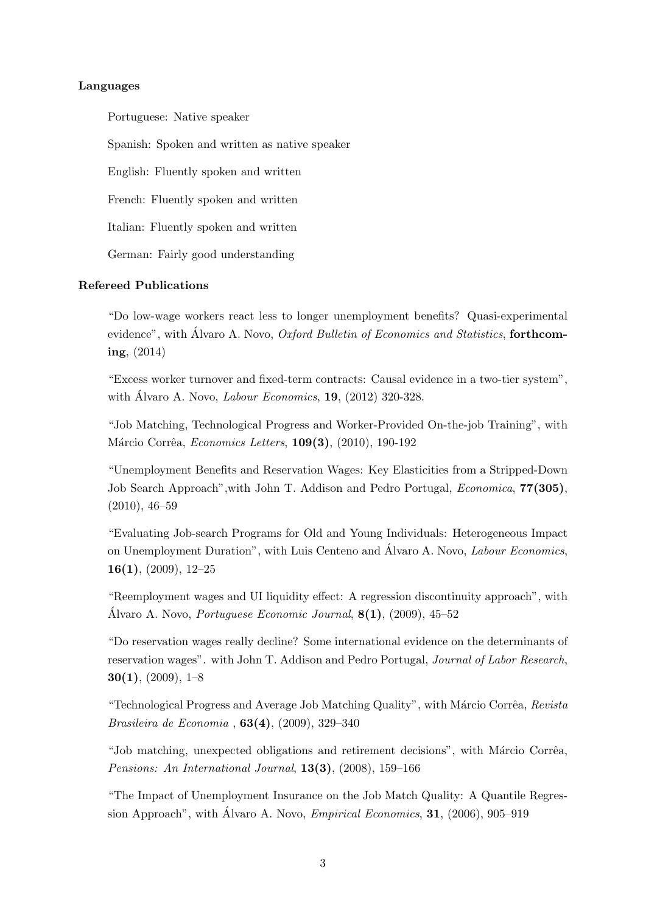### Languages

Portuguese: Native speaker Spanish: Spoken and written as native speaker English: Fluently spoken and written French: Fluently spoken and written Italian: Fluently spoken and written German: Fairly good understanding

### Refereed Publications

"Do low-wage workers react less to longer unemployment benefits? Quasi-experimental evidence", with Álvaro A. Novo, Oxford Bulletin of Economics and Statistics, forthcoming, (2014)

"Excess worker turnover and fixed-term contracts: Causal evidence in a two-tier system", with Álvaro A. Novo, *Labour Economics*, **19**,  $(2012)$  320-328.

"Job Matching, Technological Progress and Worker-Provided On-the-job Training", with Márcio Corrêa, Economics Letters, 109(3), (2010), 190-192

"Unemployment Benefits and Reservation Wages: Key Elasticities from a Stripped-Down Job Search Approach", with John T. Addison and Pedro Portugal, *Economica*, **77(305)**, (2010), 46–59

"Evaluating Job-search Programs for Old and Young Individuals: Heterogeneous Impact on Unemployment Duration", with Luis Centeno and Álvaro A. Novo, *Labour Economics*,  $16(1)$ ,  $(2009)$ ,  $12-25$ 

"Reemployment wages and UI liquidity effect: A regression discontinuity approach", with Álvaro A. Novo, *Portuguese Economic Journal*,  $8(1)$ , (2009), 45–52

"Do reservation wages really decline? Some international evidence on the determinants of reservation wages". with John T. Addison and Pedro Portugal, Journal of Labor Research,  $30(1)$ ,  $(2009)$ ,  $1-8$ 

"Technological Progress and Average Job Matching Quality", with Márcio Corrêa, Revista Brasileira de Economia , 63(4), (2009), 329–340

"Job matching, unexpected obligations and retirement decisions", with Márcio Corrêa, Pensions: An International Journal, 13(3), (2008), 159–166

"The Impact of Unemployment Insurance on the Job Match Quality: A Quantile Regression Approach", with Álvaro A. Novo, *Empirical Economics*, **31**, (2006), 905–919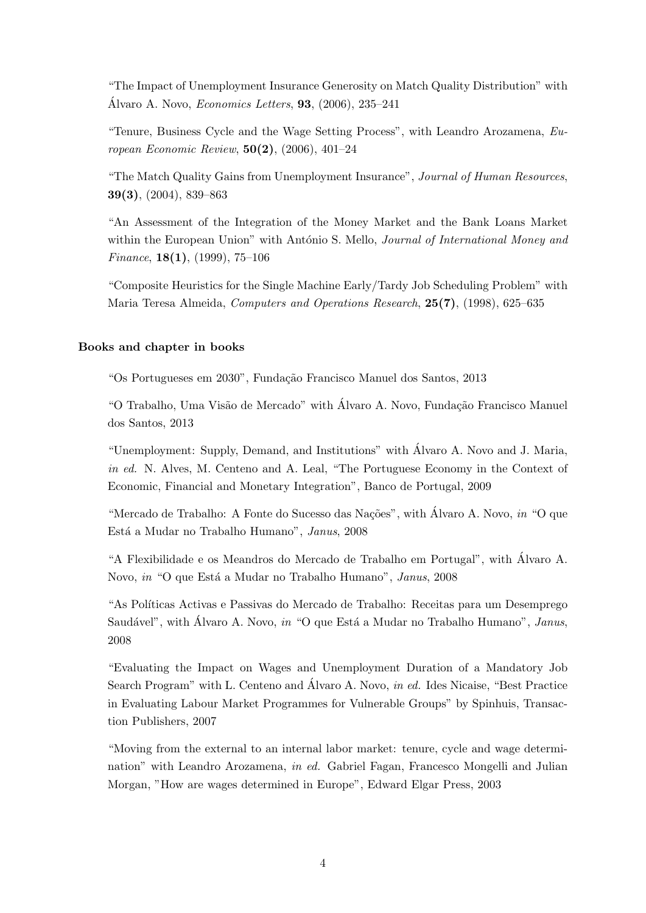"The Impact of Unemployment Insurance Generosity on Match Quality Distribution" with Álvaro A. Novo, *Economics Letters*, **93**,  $(2006)$ , 235–241

"Tenure, Business Cycle and the Wage Setting Process", with Leandro Arozamena, European Economic Review, 50(2), (2006), 401–24

"The Match Quality Gains from Unemployment Insurance", Journal of Human Resources, 39(3), (2004), 839–863

"An Assessment of the Integration of the Money Market and the Bank Loans Market within the European Union" with António S. Mello, *Journal of International Money and* Finance,  $18(1)$ ,  $(1999)$ ,  $75-106$ 

"Composite Heuristics for the Single Machine Early/Tardy Job Scheduling Problem" with Maria Teresa Almeida, Computers and Operations Research, 25(7), (1998), 625–635

### Books and chapter in books

"Os Portugueses em 2030", Fundação Francisco Manuel dos Santos, 2013

"O Trabalho, Uma Visão de Mercado" with Álvaro A. Novo, Fundação Francisco Manuel dos Santos, 2013

"Unemployment: Supply, Demand, and Institutions" with Alvaro A. Novo and J. Maria, ´ in ed. N. Alves, M. Centeno and A. Leal, "The Portuguese Economy in the Context of Economic, Financial and Monetary Integration", Banco de Portugal, 2009

"Mercado de Trabalho: A Fonte do Sucesso das Nações", with Álvaro A. Novo, in "O que Está a Mudar no Trabalho Humano", Janus, 2008

"A Flexibilidade e os Meandros do Mercado de Trabalho em Portugal", with Alvaro A. ´ Novo, in "O que Está a Mudar no Trabalho Humano", Janus, 2008

"As Políticas Activas e Passivas do Mercado de Trabalho: Receitas para um Desemprego Saudável", with Álvaro A. Novo, in "O que Está a Mudar no Trabalho Humano", Janus, 2008

"Evaluating the Impact on Wages and Unemployment Duration of a Mandatory Job Search Program" with L. Centeno and Álvaro A. Novo, *in ed.* Ides Nicaise, "Best Practice" in Evaluating Labour Market Programmes for Vulnerable Groups" by Spinhuis, Transaction Publishers, 2007

"Moving from the external to an internal labor market: tenure, cycle and wage determination" with Leandro Arozamena, in ed. Gabriel Fagan, Francesco Mongelli and Julian Morgan, "How are wages determined in Europe", Edward Elgar Press, 2003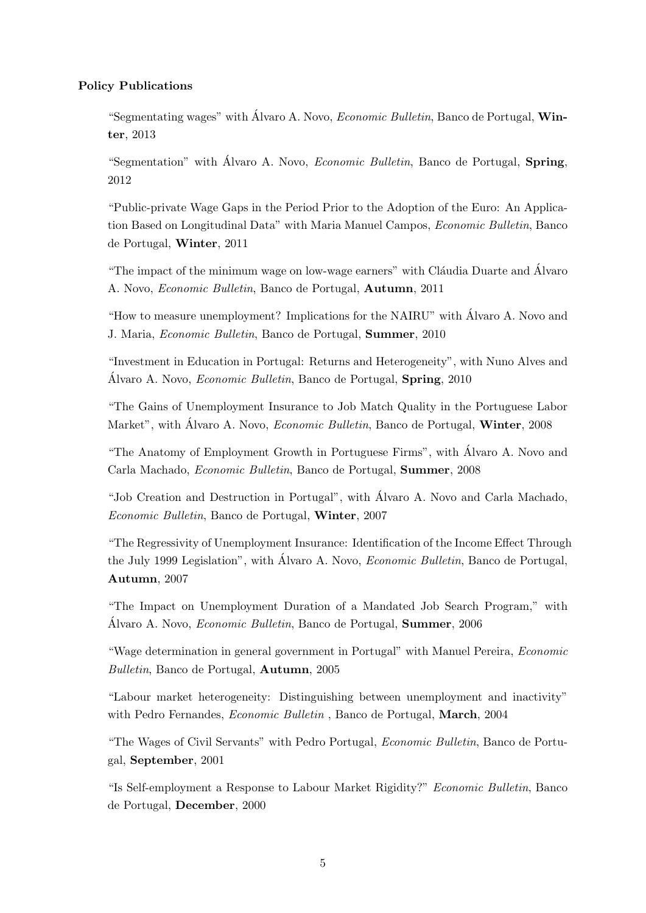### Policy Publications

"Segmentating wages" with Álvaro A. Novo,  $E_{\text{conomic}}$  Bulletin, Banco de Portugal, Winter, 2013

"Segmentation" with Álvaro A. Novo, *Economic Bulletin*, Banco de Portugal, **Spring**, 2012

"Public-private Wage Gaps in the Period Prior to the Adoption of the Euro: An Application Based on Longitudinal Data" with Maria Manuel Campos, Economic Bulletin, Banco de Portugal, Winter, 2011

"The impact of the minimum wage on low-wage earners" with Cláudia Duarte and Alvaro A. Novo, Economic Bulletin, Banco de Portugal, Autumn, 2011

"How to measure unemployment? Implications for the NAIRU" with Alvaro A. Novo and ´ J. Maria, Economic Bulletin, Banco de Portugal, Summer, 2010

"Investment in Education in Portugal: Returns and Heterogeneity", with Nuno Alves and Álvaro A. Novo, *Economic Bulletin*, Banco de Portugal, **Spring**, 2010

"The Gains of Unemployment Insurance to Job Match Quality in the Portuguese Labor Market", with Álvaro A. Novo, *Economic Bulletin*, Banco de Portugal, **Winter**, 2008

"The Anatomy of Employment Growth in Portuguese Firms", with Alvaro A. Novo and ´ Carla Machado, Economic Bulletin, Banco de Portugal, Summer, 2008

"Job Creation and Destruction in Portugal", with Alvaro A. Novo and Carla Machado, ´ Economic Bulletin, Banco de Portugal, Winter, 2007

"The Regressivity of Unemployment Insurance: Identification of the Income Effect Through the July 1999 Legislation", with Álvaro A. Novo, *Economic Bulletin*, Banco de Portugal, Autumn, 2007

"The Impact on Unemployment Duration of a Mandated Job Search Program," with Álvaro A. Novo, *Economic Bulletin*, Banco de Portugal, **Summer**, 2006

"Wage determination in general government in Portugal" with Manuel Pereira, Economic Bulletin, Banco de Portugal, Autumn, 2005

"Labour market heterogeneity: Distinguishing between unemployment and inactivity" with Pedro Fernandes, *Economic Bulletin*, Banco de Portugal, **March**, 2004

"The Wages of Civil Servants" with Pedro Portugal, Economic Bulletin, Banco de Portugal, September, 2001

"Is Self-employment a Response to Labour Market Rigidity?" Economic Bulletin, Banco de Portugal, December, 2000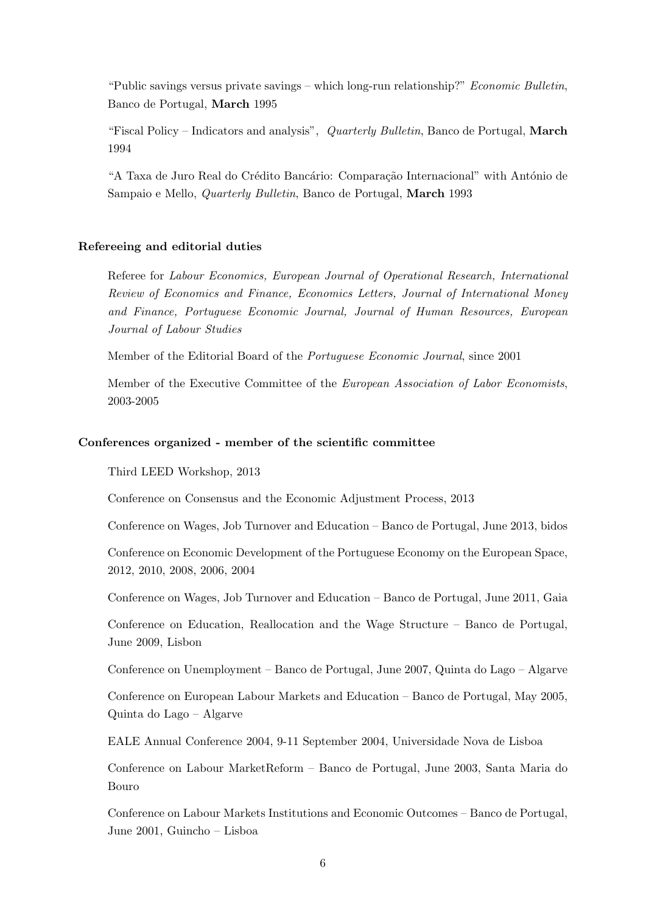"Public savings versus private savings – which long-run relationship?" Economic Bulletin, Banco de Portugal, March 1995

"Fiscal Policy – Indicators and analysis", Quarterly Bulletin, Banco de Portugal, March 1994

"A Taxa de Juro Real do Crédito Bancário: Comparação Internacional" with António de Sampaio e Mello, Quarterly Bulletin, Banco de Portugal, March 1993

### Refereeing and editorial duties

Referee for Labour Economics, European Journal of Operational Research, International Review of Economics and Finance, Economics Letters, Journal of International Money and Finance, Portuguese Economic Journal, Journal of Human Resources, European Journal of Labour Studies

Member of the Editorial Board of the Portuguese Economic Journal, since 2001

Member of the Executive Committee of the European Association of Labor Economists, 2003-2005

### Conferences organized - member of the scientific committee

Third LEED Workshop, 2013

Conference on Consensus and the Economic Adjustment Process, 2013

Conference on Wages, Job Turnover and Education – Banco de Portugal, June 2013, bidos

Conference on Economic Development of the Portuguese Economy on the European Space, 2012, 2010, 2008, 2006, 2004

Conference on Wages, Job Turnover and Education – Banco de Portugal, June 2011, Gaia

Conference on Education, Reallocation and the Wage Structure – Banco de Portugal, June 2009, Lisbon

Conference on Unemployment – Banco de Portugal, June 2007, Quinta do Lago – Algarve

Conference on European Labour Markets and Education – Banco de Portugal, May 2005, Quinta do Lago – Algarve

EALE Annual Conference 2004, 9-11 September 2004, Universidade Nova de Lisboa

Conference on Labour MarketReform – Banco de Portugal, June 2003, Santa Maria do Bouro

Conference on Labour Markets Institutions and Economic Outcomes – Banco de Portugal, June 2001, Guincho – Lisboa